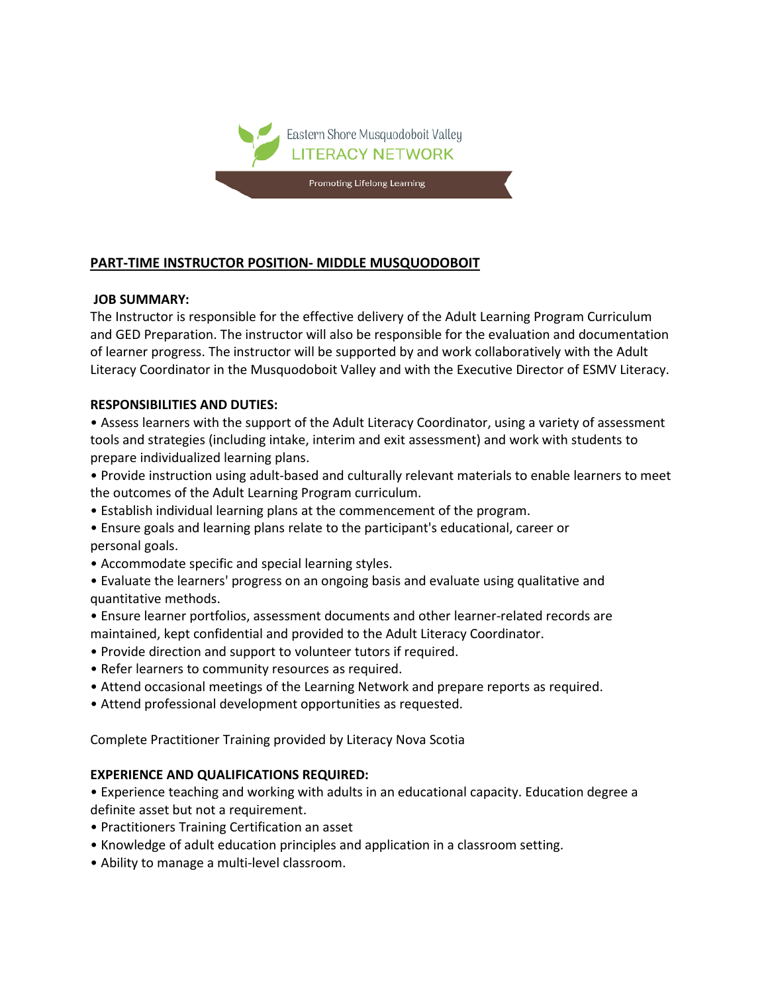

# **PART-TIME INSTRUCTOR POSITION- MIDDLE MUSQUODOBOIT**

### **JOB SUMMARY:**

The Instructor is responsible for the effective delivery of the Adult Learning Program Curriculum and GED Preparation. The instructor will also be responsible for the evaluation and documentation of learner progress. The instructor will be supported by and work collaboratively with the Adult Literacy Coordinator in the Musquodoboit Valley and with the Executive Director of ESMV Literacy.

### **RESPONSIBILITIES AND DUTIES:**

• Assess learners with the support of the Adult Literacy Coordinator, using a variety of assessment tools and strategies (including intake, interim and exit assessment) and work with students to prepare individualized learning plans.

• Provide instruction using adult-based and culturally relevant materials to enable learners to meet the outcomes of the Adult Learning Program curriculum.

- Establish individual learning plans at the commencement of the program.
- Ensure goals and learning plans relate to the participant's educational, career or personal goals.
- Accommodate specific and special learning styles.
- Evaluate the learners' progress on an ongoing basis and evaluate using qualitative and quantitative methods.
- Ensure learner portfolios, assessment documents and other learner-related records are maintained, kept confidential and provided to the Adult Literacy Coordinator.
- Provide direction and support to volunteer tutors if required.
- Refer learners to community resources as required.
- Attend occasional meetings of the Learning Network and prepare reports as required.
- Attend professional development opportunities as requested.

Complete Practitioner Training provided by Literacy Nova Scotia

## **EXPERIENCE AND QUALIFICATIONS REQUIRED:**

• Experience teaching and working with adults in an educational capacity. Education degree a definite asset but not a requirement.

- Practitioners Training Certification an asset
- Knowledge of adult education principles and application in a classroom setting.
- Ability to manage a multi-level classroom.